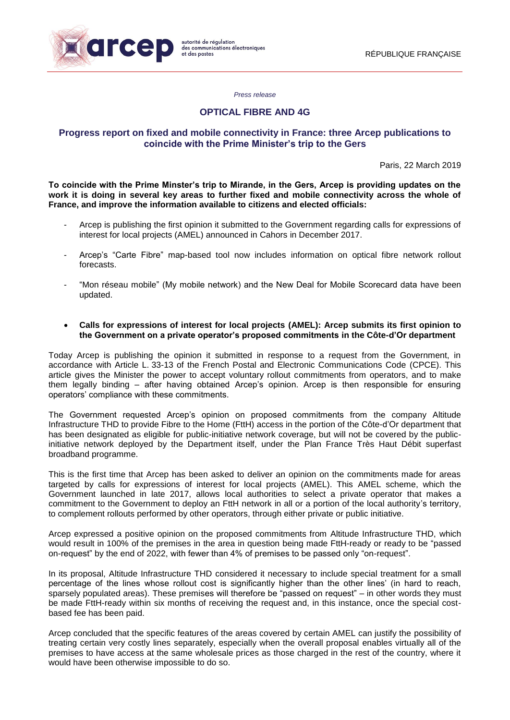

*Press release*

# **OPTICAL FIBRE AND 4G**

# **Progress report on fixed and mobile connectivity in France: three Arcep publications to coincide with the Prime Minister's trip to the Gers**

Paris, 22 March 2019

**To coincide with the Prime Minster's trip to Mirande, in the Gers, Arcep is providing updates on the work it is doing in several key areas to further fixed and mobile connectivity across the whole of France, and improve the information available to citizens and elected officials:**

- Arcep is publishing the first opinion it submitted to the Government regarding calls for expressions of interest for local projects (AMEL) announced in Cahors in December 2017.
- Arcep's "Carte Fibre" map-based tool now includes information on optical fibre network rollout forecasts.
- "Mon réseau mobile" (My mobile network) and the New Deal for Mobile Scorecard data have been updated.
- **Calls for expressions of interest for local projects (AMEL): Arcep submits its first opinion to the Government on a private operator's proposed commitments in the Côte-d'Or department**

Today Arcep is publishing the opinion it submitted in response to a request from the Government, in accordance with Article L. 33-13 of the French Postal and Electronic Communications Code (CPCE). This article gives the Minister the power to accept voluntary rollout commitments from operators, and to make them legally binding – after having obtained Arcep's opinion. Arcep is then responsible for ensuring operators' compliance with these commitments.

The Government requested Arcep's opinion on proposed commitments from the company Altitude Infrastructure THD to provide Fibre to the Home (FttH) access in the portion of the Côte-d'Or department that has been designated as eligible for public-initiative network coverage, but will not be covered by the publicinitiative network deployed by the Department itself, under the Plan France Très Haut Débit superfast broadband programme.

This is the first time that Arcep has been asked to deliver an opinion on the commitments made for areas targeted by calls for expressions of interest for local projects (AMEL). This AMEL scheme, which the Government launched in late 2017, allows local authorities to select a private operator that makes a commitment to the Government to deploy an FttH network in all or a portion of the local authority's territory, to complement rollouts performed by other operators, through either private or public initiative.

Arcep expressed a positive opinion on the proposed commitments from Altitude Infrastructure THD, which would result in 100% of the premises in the area in question being made FttH-ready or ready to be "passed on-request" by the end of 2022, with fewer than 4% of premises to be passed only "on-request".

In its proposal, Altitude Infrastructure THD considered it necessary to include special treatment for a small percentage of the lines whose rollout cost is significantly higher than the other lines' (in hard to reach, sparsely populated areas). These premises will therefore be "passed on request" – in other words they must be made FttH-ready within six months of receiving the request and, in this instance, once the special costbased fee has been paid.

Arcep concluded that the specific features of the areas covered by certain AMEL can justify the possibility of treating certain very costly lines separately, especially when the overall proposal enables virtually all of the premises to have access at the same wholesale prices as those charged in the rest of the country, where it would have been otherwise impossible to do so.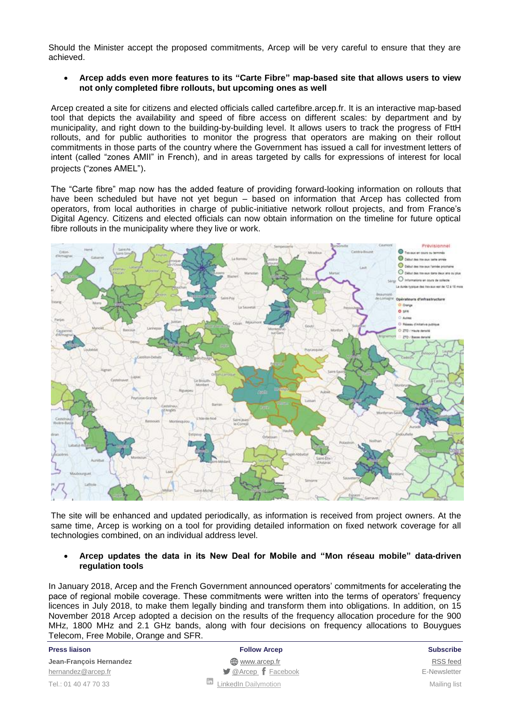Should the Minister accept the proposed commitments, Arcep will be very careful to ensure that they are achieved.

 **Arcep adds even more features to its "Carte Fibre" map-based site that allows users to view not only completed fibre rollouts, but upcoming ones as well**

Arcep created a site for citizens and elected officials called cartefibre.arcep.fr. It is an interactive map-based tool that depicts the availability and speed of fibre access on different scales: by department and by municipality, and right down to the building-by-building level. It allows users to track the progress of FttH rollouts, and for public authorities to monitor the progress that operators are making on their rollout commitments in those parts of the country where the Government has issued a call for investment letters of intent (called "zones AMII" in French), and in areas targeted by calls for expressions of interest for local projects ("zones AMEL").

The "Carte fibre" map now has the added feature of providing forward-looking information on rollouts that have been scheduled but have not yet begun – based on information that Arcep has collected from operators, from local authorities in charge of public-initiative network rollout projects, and from France's Digital Agency. Citizens and elected officials can now obtain information on the timeline for future optical fibre rollouts in the municipality where they live or work.



The site will be enhanced and updated periodically, as information is received from project owners. At the same time, Arcep is working on a tool for providing detailed information on fixed network coverage for all technologies combined, on an individual address level.

## **Arcep updates the data in its New Deal for Mobile and "Mon réseau mobile" data-driven regulation tools**

In January 2018, Arcep and the French Government announced operators' commitments for accelerating the pace of regional mobile coverage. These commitments were written into the terms of operators' frequency licences in July 2018, to make them legally binding and transform them into obligations. In addition, on 15 November 2018 Arcep adopted a decision on the results of the frequency allocation procedure for the 900 MHz, 1800 MHz and 2.1 GHz bands, along with four decisions on frequency allocations to Bouygues Telecom, Free Mobile, Orange and SFR.

| <b>10100011, 11001100110, 01a11go and 01 11.</b> |                                                        |                     |
|--------------------------------------------------|--------------------------------------------------------|---------------------|
| <b>Press liaison</b>                             | <b>Follow Arcep</b>                                    | <b>Subscribe</b>    |
| Jean-Francois Hernandez                          | () www.arcep.fr                                        | <b>RSS</b> feed     |
| hernandez@arcep.fr                               | $\blacktriangleright$ @Arcep $\boldsymbol{f}$ Facebook | E-Newsletter        |
| Tel.: 01 40 47 70 33                             | ш<br><b>LinkedIn Dailymotion</b>                       | <b>Mailing list</b> |